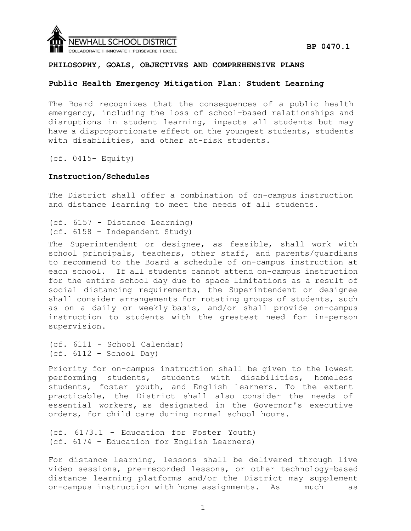

# **Public Health Emergency Mitigation Plan: Student Learning**

The Board recognizes that the consequences of a public health emergency, including the loss of school-based relationships and disruptions in student learning, impacts all students but may have a disproportionate effect on the youngest students, students with disabilities, and other at-risk students.

(cf. 0415- Equity)

# **Instruction/Schedules**

The District shall offer a combination of on-campus instruction and distance learning to meet the needs of all students.

```
(cf. 6157 - Distance Learning) 
(cf. 6158 - Independent Study)
```
The Superintendent or designee, as feasible, shall work with school principals, teachers, other staff, and parents/guardians to recommend to the Board a schedule of on-campus instruction at each school. If all students cannot attend on-campus instruction for the entire school day due to space limitations as a result of social distancing requirements, the Superintendent or designee shall consider arrangements for rotating groups of students, such as on a daily or weekly basis, and/or shall provide on-campus instruction to students with the greatest need for in-person supervision.

```
(cf. 6111 - School Calendar) 
(cf. 6112 - School Day)
```
Priority for on-campus instruction shall be given to the lowest performing students, students with disabilities, homeless students, foster youth, and English learners. To the extent practicable, the District shall also consider the needs of essential workers, as designated in the Governor's executive orders, for child care during normal school hours.

(cf. 6173.1 - Education for Foster Youth) (cf. 6174 - Education for English Learners)

For distance learning, lessons shall be delivered through live video sessions, pre-recorded lessons, or other technology-based distance learning platforms and/or the District may supplement on-campus instruction with home assignments. As much as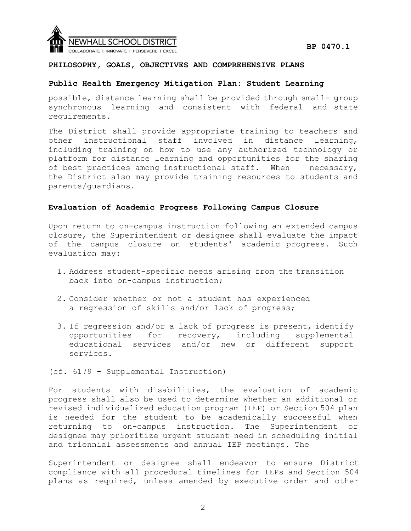

# **Public Health Emergency Mitigation Plan: Student Learning**

possible, distance learning shall be provided through small- group synchronous learning and consistent with federal and state requirements.

The District shall provide appropriate training to teachers and other instructional staff involved in distance learning, including training on how to use any authorized technology or platform for distance learning and opportunities for the sharing of best practices among instructional staff. When necessary, the District also may provide training resources to students and parents/guardians.

### **Evaluation of Academic Progress Following Campus Closure**

Upon return to on-campus instruction following an extended campus closure, the Superintendent or designee shall evaluate the impact of the campus closure on students' academic progress. Such evaluation may:

- 1. Address student-specific needs arising from the transition back into on-campus instruction;
- 2. Consider whether or not a student has experienced a regression of skills and/or lack of progress;
- 3. If regression and/or a lack of progress is present, identify opportunities for recovery, including supplemental educational services and/or new or different support services.

(cf. 6179 - Supplemental Instruction)

For students with disabilities, the evaluation of academic progress shall also be used to determine whether an additional or revised individualized education program (IEP) or Section 504 plan is needed for the student to be academically successful when returning to on-campus instruction. The Superintendent or designee may prioritize urgent student need in scheduling initial and triennial assessments and annual IEP meetings. The

Superintendent or designee shall endeavor to ensure District compliance with all procedural timelines for IEPs and Section 504 plans as required, unless amended by executive order and other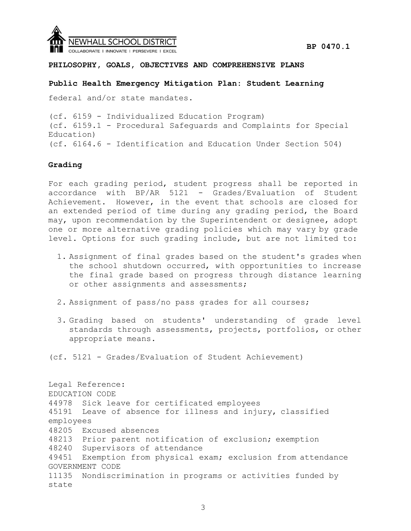

# **Public Health Emergency Mitigation Plan: Student Learning**

federal and/or state mandates.

(cf. 6159 - Individualized Education Program) (cf. 6159.1 - Procedural Safeguards and Complaints for Special Education) (cf. 6164.6 - Identification and Education Under Section 504)

# **Grading**

For each grading period, student progress shall be reported in accordance with BP/AR 5121 - Grades/Evaluation of Student Achievement. However, in the event that schools are closed for an extended period of time during any grading period, the Board may, upon recommendation by the Superintendent or designee, adopt one or more alternative grading policies which may vary by grade level. Options for such grading include, but are not limited to:

- 1. Assignment of final grades based on the student's grades when the school shutdown occurred, with opportunities to increase the final grade based on progress through distance learning or other assignments and assessments;
- 2. Assignment of pass/no pass grades for all courses;
- 3. Grading based on students' understanding of grade level standards through assessments, projects, portfolios, or other appropriate means.

(cf. 5121 - Grades/Evaluation of Student Achievement)

Legal Reference: EDUCATION CODE 44978 Sick leave for certificated employees 45191 Leave of absence for illness and injury, classified employees 48205 Excused absences 48213 Prior parent notification of exclusion; exemption 48240 Supervisors of attendance 49451 Exemption from physical exam; exclusion from attendance GOVERNMENT CODE 11135 Nondiscrimination in programs or activities funded by state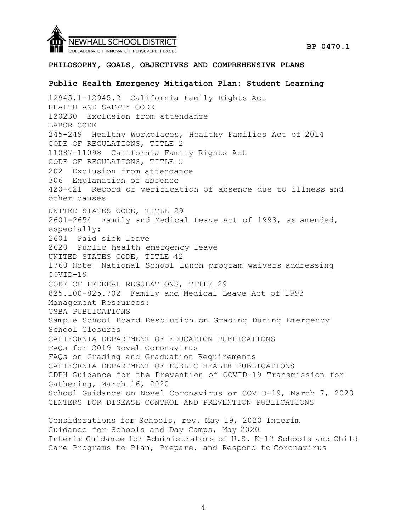

# **Public Health Emergency Mitigation Plan: Student Learning**

12945.1-12945.2 California Family Rights Act HEALTH AND SAFETY CODE 120230 Exclusion from attendance LABOR CODE 245-249 Healthy Workplaces, Healthy Families Act of 2014 CODE OF REGULATIONS, TITLE 2 11087-11098 California Family Rights Act CODE OF REGULATIONS, TITLE 5 202 Exclusion from attendance 306 Explanation of absence 420-421 Record of verification of absence due to illness and other causes UNITED STATES CODE, TITLE 29 2601-2654 Family and Medical Leave Act of 1993, as amended, especially: 2601 Paid sick leave 2620 Public health emergency leave UNITED STATES CODE, TITLE 42 1760 Note National School Lunch program waivers addressing COVID-19 CODE OF FEDERAL REGULATIONS, TITLE 29 825.100-825.702 Family and Medical Leave Act of 1993 Management Resources: CSBA PUBLICATIONS Sample School Board Resolution on Grading During Emergency School Closures CALIFORNIA DEPARTMENT OF EDUCATION PUBLICATIONS FAQs for 2019 Novel Coronavirus FAQs on Grading and Graduation Requirements CALIFORNIA DEPARTMENT OF PUBLIC HEALTH PUBLICATIONS CDPH Guidance for the Prevention of COVID-19 Transmission for Gathering, March 16, 2020 School Guidance on Novel Coronavirus or COVID-19, March 7, 2020 CENTERS FOR DISEASE CONTROL AND PREVENTION PUBLICATIONS Considerations for Schools, rev. May 19, 2020 Interim Guidance for Schools and Day Camps, May 2020 Interim Guidance for Administrators of U.S. K-12 Schools and Child

Care Programs to Plan, Prepare, and Respond to Coronavirus